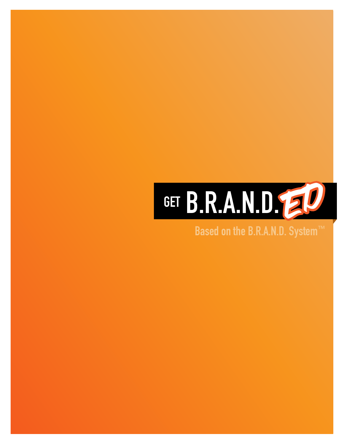

### **Based on the B.R.A.N.D. System™**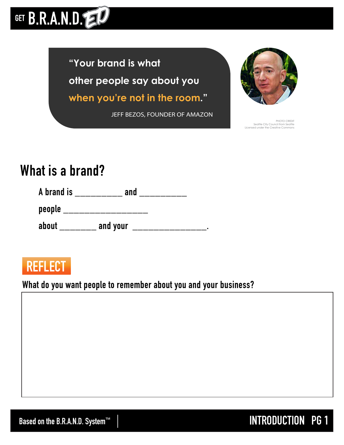## GET B.R.A.N.D.

**"Your brand is what other people say about you when you're not in the room."**

**JEFF BEZOS**, FOUNDER OF AMAZON



PHOTO CREDIT Seattle City Council from Seattle ensed under the Creative Comn

## **What is a brand?**

**A brand is \_\_\_\_\_\_\_\_\_ and \_\_\_\_\_\_\_\_\_** 

**people \_\_\_\_\_\_\_\_\_\_\_\_\_\_\_\_**

about \_\_\_\_\_\_\_\_\_ and your \_\_\_\_\_\_\_\_\_\_\_\_\_\_\_\_\_\_\_\_\_.

## **REFLECT**

**What do you want people to remember about you and your business?** 

**Based on the B.R.A.N.D. System™**  $\parallel$  **INTRODUCTION** PG 1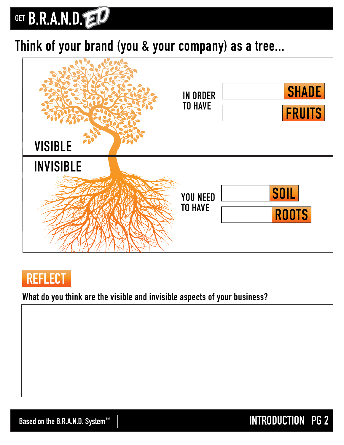## GET B.R.A.N.D.

## **Think of your brand (you & your company) as a tree...**





#### **What do you think are the visible and invisible aspects of your business?**